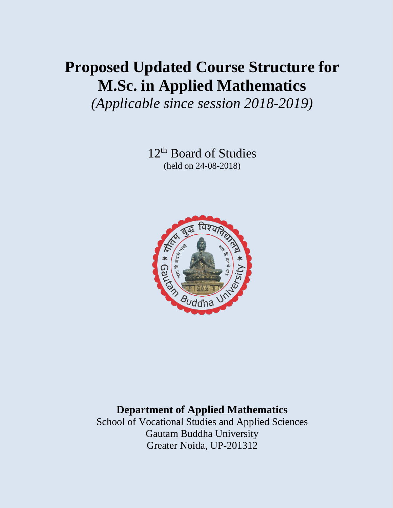# **Proposed Updated Course Structure for M.Sc. in Applied Mathematics**

*(Applicable since session 2018-2019)*

12<sup>th</sup> Board of Studies (held on 24-08-2018)



# **Department of Applied Mathematics**

School of Vocational Studies and Applied Sciences Gautam Buddha University Greater Noida, UP-201312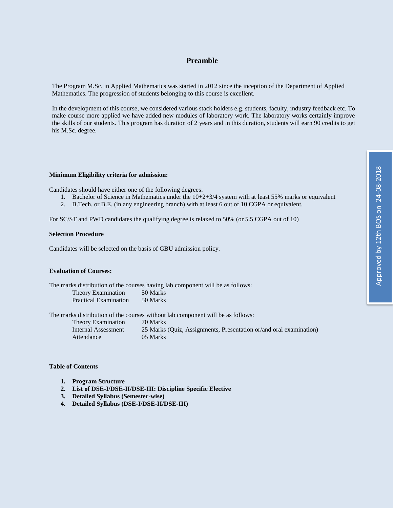### **Preamble**

The Program M.Sc. in Applied Mathematics was started in 2012 since the inception of the Department of Applied Mathematics. The progression of students belonging to this course is excellent.

In the development of this course, we considered various stack holders e.g. students, faculty, industry feedback etc. To make course more applied we have added new modules of laboratory work. The laboratory works certainly improve the skills of our students. This program has duration of 2 years and in this duration, students will earn 90 credits to get his M.Sc. degree.

### **Minimum Eligibility criteria for admission:**

Candidates should have either one of the following degrees:

- 1. Bachelor of Science in Mathematics under the 10+2+3/4 system with at least 55% marks or equivalent
- 2. B.Tech. or B.E. (in any engineering branch) with at least 6 out of 10 CGPA or equivalent.

For SC/ST and PWD candidates the qualifying degree is relaxed to 50% (or 5.5 CGPA out of 10)

### **Selection Procedure**

Candidates will be selected on the basis of GBU admission policy.

### **Evaluation of Courses:**

| The marks distribution of the courses having lab component will be as follows: |  |  |  |  |
|--------------------------------------------------------------------------------|--|--|--|--|
| 50 Marks                                                                       |  |  |  |  |
| 50 Marks                                                                       |  |  |  |  |
|                                                                                |  |  |  |  |

The marks distribution of the courses without lab component will be as follows:

| <b>Theory Examination</b> | 70 Marks                                                           |
|---------------------------|--------------------------------------------------------------------|
| Internal Assessment       | 25 Marks (Quiz, Assignments, Presentation or/and oral examination) |
| Attendance                | 05 Marks                                                           |

### **Table of Contents**

- **1. Program Structure**
- **2. List of DSE-I/DSE-II/DSE-III: Discipline Specific Elective**
- **3. Detailed Syllabus (Semester-wise)**
- **4. Detailed Syllabus (DSE-I/DSE-II/DSE-III)**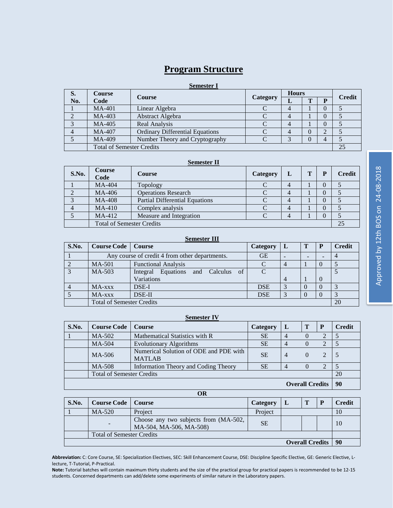# **Program Structure**

### **Semester I**

| S.                               | Course        | <b>Course</b>                          | <b>Category</b> | <b>Hours</b> |              |               | <b>Credit</b> |  |
|----------------------------------|---------------|----------------------------------------|-----------------|--------------|--------------|---------------|---------------|--|
| No.                              | Code          |                                        |                 | ┚            | $\mathbf{r}$ | D             |               |  |
|                                  | <b>MA-401</b> | Linear Algebra                         |                 |              |              | $\mathbf{0}$  |               |  |
|                                  | MA-403        | Abstract Algebra                       |                 |              |              | $\theta$      |               |  |
|                                  | MA-405        | Real Analysis                          |                 |              |              | $\mathcal{O}$ |               |  |
|                                  | MA-407        | <b>Ordinary Differential Equations</b> |                 |              |              | ◠             |               |  |
|                                  | MA-409        | Number Theory and Cryptography         |                 |              |              | 4             |               |  |
| <b>Total of Semester Credits</b> |               |                                        |                 |              |              |               | 25            |  |

### **Semester II**

| S.No.                            | Course<br>Code | <b>Course</b>                         | <b>Category</b> |  | T | $\mathbf{p}$ | <b>Credit</b> |
|----------------------------------|----------------|---------------------------------------|-----------------|--|---|--------------|---------------|
|                                  | MA-404         | Topology                              |                 |  |   |              |               |
|                                  | MA-406         | <b>Operations Research</b>            |                 |  |   |              |               |
|                                  | <b>MA-408</b>  | <b>Partial Differential Equations</b> |                 |  |   |              |               |
|                                  | $MA-410$       | Complex analysis                      |                 |  |   | 0            |               |
|                                  | MA-412         | Measure and Integration               |                 |  |   |              |               |
| <b>Total of Semester Credits</b> |                |                                       |                 |  |   | 25           |               |

| <b>Semester III</b>              |                                                |                                       |            |                |    |          |               |
|----------------------------------|------------------------------------------------|---------------------------------------|------------|----------------|----|----------|---------------|
| S.No.                            | <b>Course Code</b>   Course                    |                                       | Category   | L              |    | P        | <b>Credit</b> |
|                                  | Any course of credit 4 from other departments. |                                       | <b>GE</b>  |                |    |          |               |
|                                  | MA-501                                         | <b>Functional Analysis</b>            |            |                |    |          |               |
| $\mathbf{z}$                     | MA-503                                         | Equations and Calculus of<br>Integral | C          |                |    |          |               |
|                                  |                                                | Variations                            |            | $\overline{4}$ |    | $\Omega$ |               |
|                                  | MA-xxx                                         | DSE-I                                 | <b>DSE</b> |                |    |          |               |
|                                  | MA-xxx                                         | DSE-II                                | <b>DSE</b> |                |    |          |               |
| <b>Total of Semester Credits</b> |                                                |                                       |            |                | 20 |          |               |

### **Semester IV**

| S.No. | <b>Course Code</b>               | <b>Course</b>                                           | <b>Category</b> |                        | Т        | P             | <b>Credit</b> |
|-------|----------------------------------|---------------------------------------------------------|-----------------|------------------------|----------|---------------|---------------|
|       | MA-502                           | Mathematical Statistics with R                          | <b>SE</b>       |                        |          |               |               |
|       | MA-504                           | <b>Evolutionary Algorithms</b>                          | <b>SE</b>       | 4                      |          |               |               |
|       | MA-506                           | Numerical Solution of ODE and PDE with<br><b>MATLAB</b> | <b>SE</b>       | $\overline{4}$         | $\Omega$ | $\mathcal{L}$ |               |
|       | MA-508                           | Information Theory and Coding Theory                    | <b>SE</b>       | 4                      |          | 2             |               |
|       | <b>Total of Semester Credits</b> |                                                         |                 |                        |          |               | 20            |
|       |                                  |                                                         |                 | <b>Overall Credits</b> |          |               | 90            |

**OR**

| S.No.                            | <b>Course Code</b>   Course |                                                                  | Category  |                        |  | <b>Credit</b> |
|----------------------------------|-----------------------------|------------------------------------------------------------------|-----------|------------------------|--|---------------|
|                                  | $MA-520$                    | Project                                                          | Project   |                        |  | 10            |
|                                  |                             | Choose any two subjects from (MA-502,<br>MA-504, MA-506, MA-508) | <b>SE</b> |                        |  | 10            |
| <b>Total of Semester Credits</b> |                             |                                                                  |           |                        |  |               |
|                                  |                             |                                                                  |           | <b>Overall Credits</b> |  | 90            |

**Abbreviation:** C: Core Course, SE: Specialization Electives, SEC: Skill Enhancement Course, DSE: Discipline Specific Elective, GE: Generic Elective, Llecture, T-Tutorial, P-Practical.

**Note:** Tutorial batches will contain maximum thirty students and the size of the practical group for practical papers is recommended to be 12-15 students. Concerned departments can add/delete some experiments of similar nature in the Laboratory papers.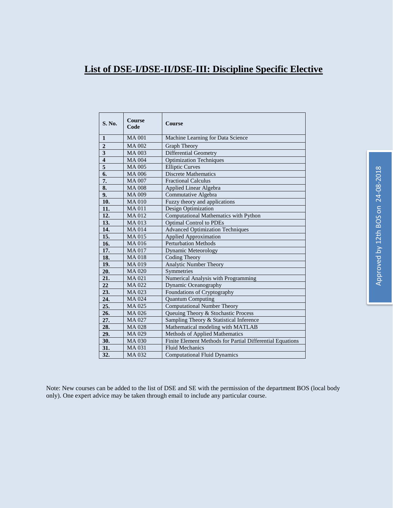# **List of DSE-I/DSE-II/DSE-III: Discipline Specific Elective**

| <b>S. No.</b>           | Course<br>Code | Course                                                    |
|-------------------------|----------------|-----------------------------------------------------------|
| $\mathbf{1}$            | <b>MA001</b>   | Machine Learning for Data Science                         |
| $\overline{2}$          | <b>MA002</b>   | Graph Theory                                              |
| $\overline{\mathbf{3}}$ | <b>MA003</b>   | <b>Differential Geometry</b>                              |
| $\overline{4}$          | <b>MA004</b>   | <b>Optimization Techniques</b>                            |
| 5                       | <b>MA005</b>   | <b>Elliptic Curves</b>                                    |
| 6.                      | <b>MA006</b>   | <b>Discrete Mathematics</b>                               |
| 7.                      | <b>MA007</b>   | <b>Fractional Calculus</b>                                |
| 8.                      | <b>MA008</b>   | Applied Linear Algebra                                    |
| 9.                      | <b>MA009</b>   | Commutative Algebra                                       |
| 10.                     | <b>MA010</b>   | Fuzzy theory and applications                             |
| 11.                     | <b>MA011</b>   | Design Optimization                                       |
| 12.                     | <b>MA012</b>   | <b>Computational Mathematics with Python</b>              |
| 13.                     | <b>MA013</b>   | <b>Optimal Control to PDEs</b>                            |
| 14.                     | <b>MA014</b>   | <b>Advanced Optimization Techniques</b>                   |
| 15.                     | <b>MA015</b>   | <b>Applied Approximation</b>                              |
| 16.                     | <b>MA016</b>   | <b>Perturbation Methods</b>                               |
| 17.                     | <b>MA017</b>   | Dynamic Meteorology                                       |
| 18.                     | <b>MA018</b>   | Coding Theory                                             |
| 19.                     | MA 019         | Analytic Number Theory                                    |
| 20.                     | <b>MA020</b>   | Symmetries                                                |
| 21.                     | <b>MA021</b>   | Numerical Analysis with Programming                       |
| 22                      | MA 022         | Dynamic Oceanography                                      |
| 23.                     | MA 023         | Foundations of Cryptography                               |
| 24.                     | <b>MA024</b>   | <b>Quantum Computing</b>                                  |
| 25.                     | MA 025         | <b>Computational Number Theory</b>                        |
| 26.                     | MA 026         | Queuing Theory & Stochastic Process                       |
| 27.                     | MA 027         | Sampling Theory & Statistical Inference                   |
| 28.                     | <b>MA028</b>   | Mathematical modeling with MATLAB                         |
| 29.                     | MA 029         | Methods of Applied Mathematics                            |
| 30.                     | <b>MA030</b>   | Finite Element Methods for Partial Differential Equations |
| 31.                     | <b>MA031</b>   | <b>Fluid Mechanics</b>                                    |
| 32.                     | MA 032         | <b>Computational Fluid Dynamics</b>                       |

Note: New courses can be added to the list of DSE and SE with the permission of the department BOS (local body only). One expert advice may be taken through email to include any particular course.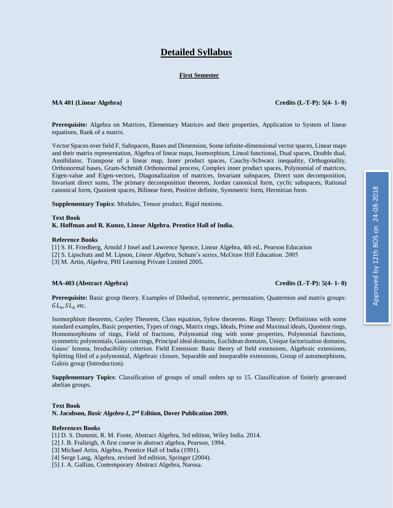# **Detailed Syllabus**

### **First Semester**

### **MA 401 (Linear Algebra) Credits (L-T-P): 5(4- 1- 0)**

**Prerequisite:** Algebra on Matrices, Elementary Matrices and their properties, Application to System of linear equations, Rank of a matrix.

Vector Spaces over field F, Subspaces, Bases and Dimension, Some infinite-dimensional vector spaces, Linear maps and their matrix representation, Algebra of linear maps, Isomorphism, Lineal functional, Dual spaces, Double dual, Annihilator, Transpose of a linear map, Inner product spaces, Cauchy-Schwarz inequality, Orthogonality, Orthonormal bases, Gram-Schmidt Orthonormal process, Complex inner product spaces, Polynomial of matrices, Eigen-value and Eigen-vectors, Diagonalization of matrices, Invariant subspaces, Direct sum decomposition, Invariant direct sums, The primary decomposition theorem, Jordan canonical form, cyclic subspaces, Rational canonical form, Quotient spaces, Bilinear form, Positive definite, Symmetric form, Hermitian form.

**Supplementary Topics**: Modules, Tensor product, Rigid motions.

### **Text Book K. Hoffman and R. Kunze, Linear Algebra. Prentice Hall of India.**

### **Reference Books**

[1] S. H. Friedberg, Arnold J Insel and Lawrence Spence, Linear Algebra, 4th ed., Pearson Education [2] S. Lipschutz and M. Lipson, *Linear Algebra*, Schum's series, McGraw Hill Education. 2005

[3] M. Artin, *Algebra*, PHI Learning Private Limited 2005.

### **MA-403 (Abstract Algebra) Credits (L-T-P): 5(4- 1- 0)**

**Prerequisite:** Basic group theory. Examples of Dihedral, symmetric, permutation, Quaternion and matrix groups:  $GL_n, SL_n$  etc.

Isomorphism theorems, Cayley Theorem, Class equation, Sylow theorems. Rings Theory: Definitions with some standard examples, Basic properties, Types of rings, Matrix rings, Ideals, Prime and Maximal ideals, Quotient rings, Homomorphisms of rings, Field of fractions, Polynomial ring with some properties, Polynomial functions, symmetric polynomials, Gaussian rings, Principal ideal domains, Euclidean domains, Unique factorization domains, Gauss' lemma, Irreducibility criterion. Field Extension: Basic theory of field extensions, Algebraic extensions, Splitting filed of a polynomial, Algebraic closure, Separable and inseparable extensions, Group of automorphisms, Galois group (Introduction).

**Supplementary Topics**: Classification of groups of small orders up to 15. Classification of finitely generated abelian groups.

### **Text Book**

**N. Jacobson,** *Basic Algebra-I***, 2nd Edition, Dover Publication 2009.**

### **References Books**

- [1] D. S. Dummit, R. M. Foote, Abstract Algebra, 3rd edition, Wiley India. 2014.
- [2] J. B. Fralieigh, A first course in abstract algebra, Pearson, 1994.
- [3] Michael Artin, Algebra, Prentice Hall of India (1991).
- [4] Serge Lang, Algebra, revised 3rd edition, Springer (2004).
- [5] J. A. Gallian, Contemporary Abstract Algebra, Narosa.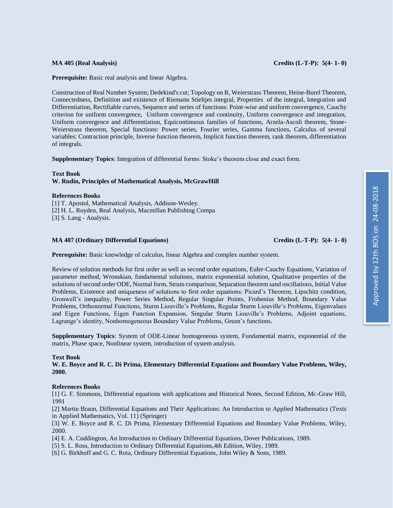### **MA 405 (Real Analysis) Credits (L-T-P): 5(4- 1- 0)**

**Prerequisite:** Basic real analysis and linear Algebra.

Construction of Real Number System; Dedekind's cut; Topology on R, Weierstrass Theorem, Heine-Borel Theorem, Connectedness, Definition and existence of Riemann Stieltjes integral, Properties of the integral, Integration and Differentiation, Rectifiable curves, Sequence and series of functions: Point-wise and uniform convergence, Cauchy criterion for uniform convergence, Uniform convergence and continuity, Uniform convergence and integration, Uniform convergence and differentiation, Equicontinuous families of functions, Arzela-Ascoli theorem, Stone-Weierstrass theorem, Special functions: Power series, Fourier series, Gamma functions, Calculus of several variables: Contraction principle, Inverse function theorem, Implicit function theorem, rank theorem, differentiation of integrals.

**Supplementary Topics**: Integration of differential forms: Stoke's theorem close and exact form.

### **Text Book W. Rudin, Principles of Mathematical Analysis, McGrawHill**

### **References Books**

[1] T. Apostol, Mathematical Analysis, Addison-Wesley. [2] H. L. Royden, Real Analysis, Macmillan Publishing Compa [3] S. Lang - Analysis.

### **MA 407 (Ordinary Differential Equations) Credits (L-T-P): 5(4- 1- 0)**

**Prerequisite:** Basic knowledge of calculus, linear Algebra and complex number system.

Review of solution methods for first order as well as second order equations, Euler-Cauchy Equations, Variation of parameter method, Wronskian, fundamental solutions, matrix exponential solution, Qualitative properties of the solutions of second order ODE, Normal form, Strum comparison, Separation theorem sand oscillations, Initial Value Problems, Existence and uniqueness of solutions to first order equations: Picard's Theorem, Lipschitz condition, Gronwell's inequality, Power Series Method, Regular Singular Points, Frobenius Method, Boundary Value Problems, Orthonormal Functions, Sturm Liouville's Problems, Regular Sturm Liouville's Problems, Eigenvalues and Eigen Functions, Eigen Function Expansion, Singular Sturm Liouville's Problems, Adjoint equations, Lagrange's identity, Nonhomogeneous Boundary Value Problems, Green's functions.

**Supplementary Topics**: System of ODE-Linear homogeneous system, Fundamental matrix, exponential of the matrix, Phase space, Nonlinear system, introduction of system analysis.

### **Text Book**

**W. E. Boyce and R. C. Di Prima, Elementary Differential Equations and Boundary Value Problems, Wiley, 2000.**

### **References Books**

[1] G. F. Simmons, Differential equations with applications and Historical Notes, Second Edition, Mc-Graw Hill, 1991

[2] Martin Braun, Differential Equations and Their Applications: An Introduction to Applied Mathematics (Texts in Applied Mathematics, Vol. 11) (Springer)

[3] W. E. Boyce and R. C. Di Prima, Elementary Differential Equations and Boundary Value Problems, Wiley, 2000.

[4] E. A. Coddington, An Introduction to Ordinary Differential Equations, Dover Publications, 1989.

- [5] S. L. Ross, Introduction to Ordinary Differential Equations,4th Edition, Wiley, 1989.
- [6] G. Birkhoff and G. C. Rota, Ordinary Differential Equations, John Wiley & Sons, 1989.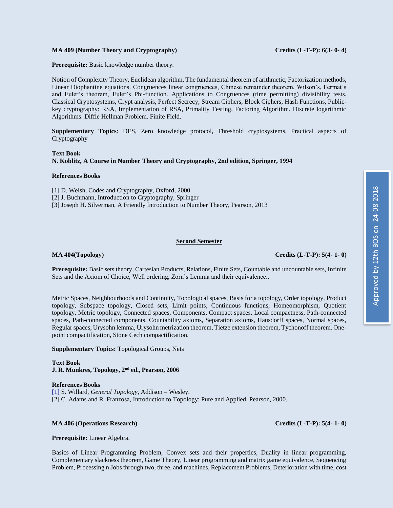### **MA 409 (Number Theory and Cryptography) Credits (L-T-P): 6(3- 0- 4)**

**Prerequisite:** Basic knowledge number theory.

Notion of Complexity Theory, Euclidean algorithm, The fundamental theorem of arithmetic, Factorization methods, Linear Diophantine equations. Congruences linear congruences, Chinese remainder theorem, Wilson's, Fermat's and Euler's theorem, Euler's Phi-function. Applications to Congruences (time permitting) divisibility tests. Classical Cryptosystems, Crypt analysis, Perfect Secrecy, Stream Ciphers, Block Ciphers, Hash Functions, Publickey cryptography: RSA, Implementation of RSA, Primality Testing, Factoring Algorithm. Discrete logarithmic Algorithms. Diffie Hellman Problem. Finite Field.

**Supplementary Topics**: DES, Zero knowledge protocol, Threshold cryptosystems, Practical aspects of Cryptography

### **Text Book N. Koblitz, A Course in Number Theory and Cryptography, 2nd edition, Springer, 1994**

### **References Books**

[1] D. Welsh, Codes and Cryptography, Oxford, 2000. [2] J. Buchmann, Introduction to Cryptography, Springer

[3] Joseph H. Silverman, A Friendly Introduction to Number Theory, Pearson, 2013

### **Second Semester**

**Prerequisite:** Basic sets theory, Cartesian Products, Relations, Finite Sets, Countable and uncountable sets, Infinite Sets and the Axiom of Choice, Well ordering, Zorn's Lemma and their equivalence..

Metric Spaces, Neighbourhoods and Continuity, Topological spaces, Basis for a topology, Order topology, Product topology, Subspace topology, Closed sets, Limit points, Continuous functions, Homeomorphism, Quotient topology, Metric topology, Connected spaces, Components, Compact spaces, Local compactness, Path-connected spaces, Path-connected components, Countability axioms, Separation axioms, Hausdorff spaces, Normal spaces, Regular spaces, Urysohn lemma, Urysohn metrization theorem, Tietze extension theorem, Tychonoff theorem. Onepoint compactification, Stone Cech compactification.

**Supplementary Topics:** Topological Groups, Nets

**Text Book J. R. Munkres, Topology, 2nd ed., Pearson, 2006**

### **References Books**

[1] S. Willard, *General Topology*, Addison – Wesley. [2] C. Adams and R. Franzosa, Introduction to Topology: Pure and Applied, Pearson, 2000.

### **MA 406 (Operations Research) Credits (L-T-P): 5(4- 1- 0)**

**Prerequisite:** Linear Algebra.

Basics of Linear Programming Problem, Convex sets and their properties, Duality in linear programming, Complementary slackness theorem, Game Theory, Linear programming and matrix game equivalence, Sequencing Problem, Processing n Jobs through two, three, and machines, Replacement Problems, Deterioration with time, cost

**MA 404(Topology) Credits (L-T-P): 5(4- 1- 0)**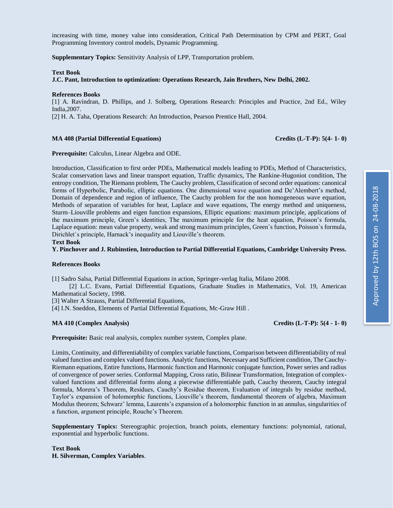increasing with time, money value into consideration, Critical Path Determination by CPM and PERT, Goal Programming Inventory control models, Dynamic Programming.

**Supplementary Topics:** Sensitivity Analysis of LPP, Transportation problem.

### **Text Book**

**J.C. Pant, Introduction to optimization: Operations Research, Jain Brothers, New Delhi, 2002.**

### **References Books**

[1] A. Ravindran, D. Phillips, and J. Solberg, Operations Research: Principles and Practice, 2nd Ed., Wiley India,2007.

[2] H. A. Taha, Operations Research: An Introduction, Pearson Prentice Hall, 2004.

### **MA 408 (Partial Differential Equations) Credits (L-T-P): 5(4- 1- 0)**

**Prerequisite:** Calculus, Linear Algebra and ODE.

Introduction, Classification to first order PDEs, Mathematical models leading to PDEs, Method of Characteristics, Scalar conservation laws and linear transport equation, Traffic dynamics, The Rankine-Hugoniot condition, The entropy condition, The Riemann problem, The Cauchy problem, Classification of second order equations: canonical forms of Hyperbolic, Parabolic, elliptic equations. One dimensional wave equation and De'Alembert's method, Domain of dependence and region of influence, The Cauchy problem for the non homogeneous wave equation, Methods of separation of variables for heat, Laplace and wave equations, The energy method and uniqueness, Sturm–Liouville problems and eigen function expansions, Elliptic equations: maximum principle, applications of the maximum principle, Green's identities, The maximum principle for the heat equation, Poisson's formula, Laplace equation: mean value property, weak and strong maximum principles, Green`s function, Poisson`s formula, Dirichlet`s principle, Harnack's inequality and Liouville's theorem.

**Text Book**

**Y. Pinchover and J. Rubinstien, Introduction to Partial Differential Equations, Cambridge University Press.**

### **References Books**

[1] Sadro Salsa, Partial Differential Equations in action, Springer-verlag Italia, Milano 2008.

 [2] L.C. Evans, Partial Differential Equations, Graduate Studies in Mathematics, Vol. 19, American Mathematical Society, 1998.

[3] Walter A Strauss, Partial Differential Equations,

[4] I.N. Sneddon, Elements of Partial Differential Equations, Mc-Graw Hill.

### **MA 410 (Complex Analysis) Credits (L-T-P): 5(4 - 1- 0)**

**Prerequisite:** Basic real analysis, complex number system, Complex plane.

Limits, Continuity, and differentiability of complex variable functions, Comparison between differentiability of real valued function and complex valued functions. Analytic functions, Necessary and Sufficient condition, The Cauchy-Riemann equations, Entire functions, Harmonic function and Harmonic conjugate function, Power series and radius of convergence of power series. Conformal Mapping, Cross ratio, Bilinear Transformation, Integration of complexvalued functions and differential forms along a piecewise differentiable path, Cauchy theorem, Cauchy integral formula, Morera's Theorem, Residues, Cauchy's Residue theorem, Evaluation of integrals by residue method, Taylor's expansion of holomorphic functions, Liouville's theorem, fundamental theorem of algebra, Maximum Modulus theorem; Schwarz' lemma, Laurents's expansion of a holomorphic function in an annulus, singularities of a function, argument principle, Rouche's Theorem.

**Supplementary Topics:** Stereographic projection, branch points, elementary functions: polynomial, rational, exponential and hyperbolic functions.

**Text Book H. Silverman, Complex Variables**.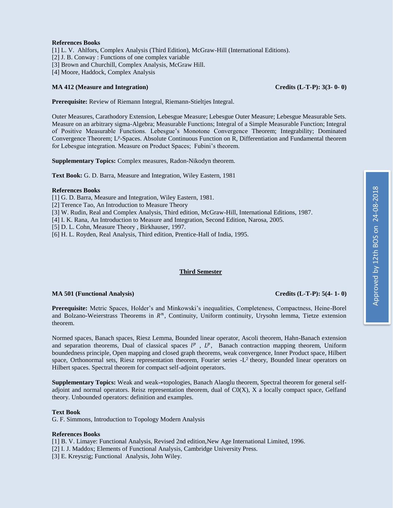### **References Books**

[1] L. V. Ahlfors, Complex Analysis (Third Edition), McGraw-Hill (International Editions).

[2] J. B. Conway : Functions of one complex variable

[3] Brown and Churchill, Complex Analysis, McGraw Hill.

[4] Moore, Haddock, Complex Analysis

### **MA 412 (Measure and Integration) Credits (L-T-P): 3(3- 0- 0)**

**Prerequisite:** Review of Riemann Integral, Riemann-Stieltjes Integral.

Outer Measures, Carathodory Extension, Lebesgue Measure; Lebesgue Outer Measure; Lebesgue Measurable Sets. Measure on an arbitrary sigma-Algebra; Measurable Functions; Integral of a Simple Measurable Function; Integral of Positive Measurable Functions. Lebesgue's Monotone Convergence Theorem; Integrability; Dominated Convergence Theorem; L<sup>p</sup>-Spaces. Absolute Continuous Function on R, Differentiation and Fundamental theorem for Lebesgue integration. Measure on Product Spaces; Fubini's theorem.

**Supplementary Topics:** Complex measures, Radon-Nikodyn theorem.

**Text Book:** G. D. Barra, Measure and Integration, Wiley Eastern, 1981

### **References Books**

[1] G. D. Barra, Measure and Integration, Wiley Eastern, 1981.

[2] Terence Tao, An Introduction to Measure Theory

[3] W. Rudin, Real and Complex Analysis, Third edition, McGraw-Hill, International Editions, 1987.

[4] I. K. Rana, An Introduction to Measure and Integration, Second Edition, Narosa, 2005.

[5] D. L. Cohn, Measure Theory , Birkhauser, 1997.

[6] H. L. Royden, Real Analysis, Third edition, Prentice-Hall of India, 1995.

### **Third Semester**

### **MA 501 (Functional Analysis) Credits (L-T-P): 5(4- 1- 0)**

**Prerequisite:** Metric Spaces, Holder's and Minkowski's inequalities, Completeness, Compactness, Heine-Borel and Bolzano-Weierstrass Theorems in  $R<sup>n</sup>$ , Continuity, Uniform continuity, Urysohn lemma, Tietze extension theorem.

Normed spaces, Banach spaces, Riesz Lemma, Bounded linear operator, Ascoli theorem, Hahn-Banach extension and separation theorems, Dual of classical spaces  $l^p$ ,  $L^p$ , Banach contraction mapping theorem, Uniform boundedness principle, Open mapping and closed graph theorems, weak convergence, Inner Product space, Hilbert space, Orthonormal sets, Riesz representation theorem, Fourier series -L<sup>2</sup> theory, Bounded linear operators on Hilbert spaces. Spectral theorem for compact self-adjoint operators.

**Supplementary Topics:** Weak and weak-∗topologies, Banach Alaoglu theorem, Spectral theorem for general selfadjoint and normal operators. Reisz representation theorem, dual of  $CO(X)$ , X a locally compact space, Gelfand theory. Unbounded operators: definition and examples.

### **Text Book**

G. F. Simmons, Introduction to Topology Modern Analysis

### **References Books**

- [1] B. V. Limaye: Functional Analysis, Revised 2nd edition,New Age International Limited, 1996.
- [2] I. J. Maddox; Elements of Functional Analysis, Cambridge University Press.
- [3] E. Kreyszig; Functional Analysis, John Wiley.

# Approved by 12th BOS on 24-08-2018 Approved by 12th BOS on 24-08-2018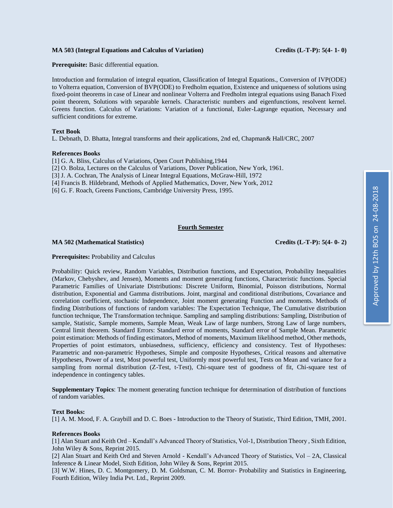### **MA 503 (Integral Equations and Calculus of Variation) Credits (L-T-P): 5(4- 1- 0)**

**Prerequisite:** Basic differential equation.

Introduction and formulation of integral equation, Classification of Integral Equations., Conversion of IVP(ODE) to Volterra equation, Conversion of BVP(ODE) to Fredholm equation, Existence and uniqueness of solutions using fixed-point theorems in case of Linear and nonlinear Volterra and Fredholm integral equations using Banach Fixed point theorem, Solutions with separable kernels. Characteristic numbers and eigenfunctions, resolvent kernel. Greens function. Calculus of Variations: Variation of a functional, Euler-Lagrange equation, Necessary and sufficient conditions for extreme.

### **Text Book**

L. Debnath, D. Bhatta, Integral transforms and their applications, 2nd ed, Chapman& Hall/CRC, 2007

### **References Books**

[1] G. A. Bliss, Calculus of Variations, Open Court Publishing,1944

[2] O. Bolza, Lectures on the Calculus of Variations, Dover Publication, New York, 1961.

[3] J. A. Cochran, The Analysis of Linear Integral Equations, McGraw-Hill, 1972

[4] Francis B. Hildebrand, Methods of Applied Mathematics, Dover, New York, 2012

[6] G. F. Roach, Greens Functions, Cambridge University Press, 1995.

### **Fourth Semester**

### **MA 502 (Mathematical Statistics) Credits (L-T-P): 5(4- 0- 2)**

### **Prerequisites:** Probability and Calculus

Probability: Quick review, Random Variables, Distribution functions, and Expectation, Probability Inequalities (Markov, Chebyshev, and Jensen), Moments and moment generating functions, Characteristic functions. Special Parametric Families of Univariate Distributions: Discrete Uniform, Binomial, Poisson distributions, Normal distribution, Exponential and Gamma distributions. Joint, marginal and conditional distributions, Covariance and correlation coefficient, stochastic Independence, Joint moment generating Function and moments. Methods of finding Distributions of functions of random variables: The Expectation Technique, The Cumulative distribution function technique, The Transformation technique. Sampling and sampling distributions: Sampling, Distribution of sample, Statistic, Sample moments, Sample Mean, Weak Law of large numbers, Strong Law of large numbers, Central limit theorem. Standard Errors: Standard error of moments, Standard error of Sample Mean. Parametric point estimation: Methods of finding estimators, Method of moments, Maximum likelihood method, Other methods, Properties of point estimators, unbiasedness, sufficiency, efficiency and consistency. Test of Hypotheses: Parametric and non-parametric Hypotheses, Simple and composite Hypotheses, Critical reasons and alternative Hypotheses, Power of a test, Most powerful test, Uniformly most powerful test, Tests on Mean and variance for a sampling from normal distribution (Z-Test, t-Test), Chi-square test of goodness of fit, Chi-square test of independence in contingency tables.

**Supplementary Topics**: The moment generating function technique for determination of distribution of functions of random variables.

### **Text Books:**

[1] A. M. Mood, F. A. Graybill and D. C. Boes - Introduction to the Theory of Statistic, Third Edition, TMH, 2001.

### **References Books**

[1] Alan Stuart and Keith Ord – Kendall's Advanced Theory of Statistics, Vol-1, Distribution Theory , Sixth Edition, John Wiley & Sons, Reprint 2015.

[2] Alan Stuart and Keith Ord and Steven Arnold - Kendall's Advanced Theory of Statistics, Vol – 2A, Classical Inference & Linear Model, Sixth Edition, John Wiley & Sons, Reprint 2015.

[3] W.W. Hines, D. C. Montgomery, D. M. Goldsman, C. M. Borror- Probability and Statistics in Engineering, Fourth Edition, Wiley India Pvt. Ltd., Reprint 2009.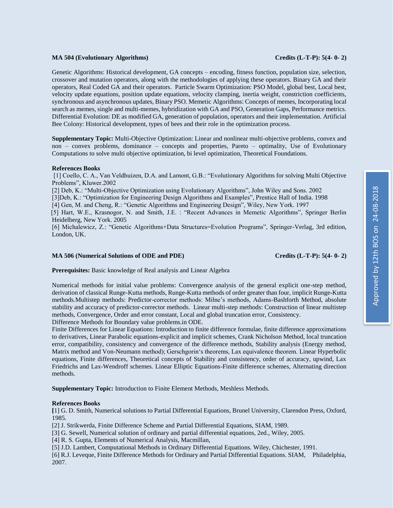### **MA 504 (Evolutionary Algorithms) Credits (L-T-P): 5(4- 0- 2)**

Genetic Algorithms: Historical development, GA concepts – encoding, fitness function, population size, selection, crossover and mutation operators, along with the methodologies of applying these operators. Binary GA and their operators, Real Coded GA and their operators. Particle Swarm Optimization: PSO Model, global best, Local best, velocity update equations, position update equations, velocity clamping, inertia weight, constriction coefficients, synchronous and asynchronous updates, Binary PSO. Memetic Algorithms: Concepts of memes, Incorporating local search as memes, single and multi-memes, hybridization with GA and PSO, Generation Gaps, Performance metrics. Differential Evolution: DE as modified GA, generation of population, operators and their implementation. Artificial Bee Colony: Historical development, types of bees and their role in the optimization process.

**Supplementary Topic:** Multi-Objective Optimization: Linear and nonlinear multi-objective problems, convex and non – convex problems, dominance – concepts and properties, Pareto – optimality, Use of Evolutionary Computations to solve multi objective optimization, bi level optimization, Theoretical Foundations.

### **References Books**

[1] Coello, C. A., Van Veldhuizen, D.A. and Lamont, G.B.: "Evolutionary Algorithms for solving Multi Objective Problems", Kluwer.2002

[2] Deb, K.: "Multi-Objective Optimization using Evolutionary Algorithms", John Wiley and Sons. 2002

[3]Deb, K.: "Optimization for Engineering Design Algorithms and Examples", Prentice Hall of India. 1998

[4] Gen, M. and Cheng, R.: "Genetic Algorithms and Engineering Design", Wiley, New York. 1997

 [5] Hart, W.E., Krasnogor, N. and Smith, J.E. : "Recent Advances in Memetic Algorithms", Springer Berlin Heidelberg, New York. 2005

[6] Michalewicz, Z.: "Genetic Algorithms+Data Structures=Evolution Programs", Springer-Verlag, 3rd edition, London, UK.

### **MA 506 (Numerical Solutions of ODE and PDE) Credits (L-T-P): 5(4- 0- 2)**

**Prerequisites:** Basic knowledge of Real analysis and Linear Algebra

Numerical methods for initial value problems: Convergence analysis of the general explicit one-step method, derivation of classical Runge-Kutta methods, Runge-Kutta methods of order greater than four, implicit Runge-Kutta methods.Multistep methods: Predictor-corrector methods: Milne's methods, Adams-Bashforth Method, absolute stability and accuracy of predictor-corrector methods. Linear multi-step methods: Construction of linear multistep methods, Convergence, Order and error constant, Local and global truncation error, Consistency.

Difference Methods for Boundary value problems.in ODE.

Finite Differences for Linear Equations: Introduction to finite difference formulae, finite difference approximations to derivatives, Linear Parabolic equations-explicit and implicit schemes, Crank Nicholson Method, local truncation error, compatibility, consistency and convergence of the difference methods, Stability analysis (Energy method, Matrix method and Von-Neumann method); Gerschgorin's theorems, Lax equivalence theorem. Linear Hyperbolic equations, Finite differences, Theoretical concepts of Stability and consistency, order of accuracy, upwind, Lax Friedrichs and Lax-Wendroff schemes. Linear Elliptic Equations-Finite difference schemes, Alternating direction methods.

**Supplementary Topic:** Introduction to Finite Element Methods, Meshless Methods.

### **References Books**

**[**1] G. D. Smith, Numerical solutions to Partial Differential Equations, Brunel University, Clarendon Press, Oxford, 1985.

[2] J. Strikwerda, Finite Difference Scheme and Partial Differential Equations, SIAM, 1989.

[3] G. Sewell, Numerical solution of ordinary and partial differential equations, 2ed., Wiley, 2005.

[4] R. S. Gupta, Elements of Numerical Analysis, Macmillan,

[5] J.D. Lambert, Computational Methods in Ordinary Differential Equations. Wiley, Chichester, 1991.

[6] R.J. Leveque, Finite Difference Methods for Ordinary and Partial Differential Equations. SIAM, Philadelphia, 2007.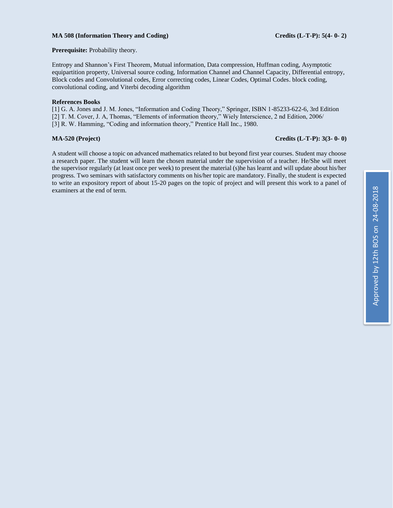### **MA 508 (Information Theory and Coding) Credits (L-T-P): 5(4- 0- 2)**

**Prerequisite:** Probability theory.

Entropy and Shannon's First Theorem, Mutual information, Data compression, Huffman coding, Asymptotic equipartition property, Universal source coding, Information Channel and Channel Capacity, Differential entropy, Block codes and Convolutional codes, Error correcting codes, Linear Codes, Optimal Codes. block coding, convolutional coding, and Viterbi decoding algorithm

### **References Books**

[1] G. A. Jones and J. M. Jones, "Information and Coding Theory," Springer, ISBN 1-85233-622-6, 3rd Edition [2] T. M. Cover, J. A, Thomas, "Elements of information theory," Wiely Interscience, 2 nd Edition, 2006/ [3] R. W. Hamming, "Coding and information theory," Prentice Hall Inc., 1980.

### **MA-520 (Project) Credits (L-T-P): 3(3- 0- 0)**

A student will choose a topic on advanced mathematics related to but beyond first year courses. Student may choose a research paper. The student will learn the chosen material under the supervision of a teacher. He/She will meet the supervisor regularly (at least once per week) to present the material (s)he has learnt and will update about his/her progress. Two seminars with satisfactory comments on his/her topic are mandatory. Finally, the student is expected to write an expository report of about 15-20 pages on the topic of project and will present this work to a panel of examiners at the end of term.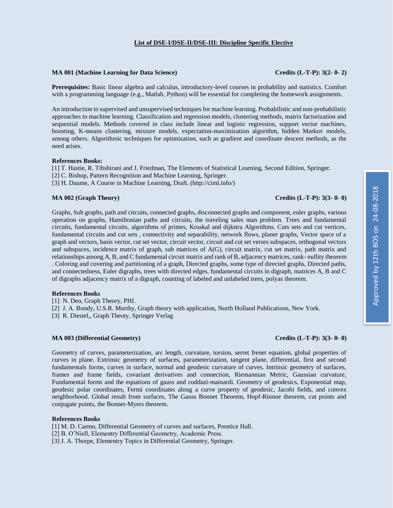### **List of DSE-I/DSE-II/DSE-III: Discipline Specific Elective**

### **MA 001 (Machine Learning for Data Science) Credits (L-T-P): 3(2- 0- 2)**

**Prerequisites:** Basic linear algebra and calculus, introductory-level courses in probability and statistics. Comfort with a programming language (e.g., Matlab, Python) will be essential for completing the homework assignments.

An introduction to supervised and unsupervised techniques for machine learning. Probabilistic and non-probabilistic approaches to machine learning. Classification and regression models, clustering methods, matrix factorization and sequential models. Methods covered in class include linear and logistic regression, support vector machines, boosting, K-means clustering, mixture models, expectation-maximization algorithm, hidden Markov models, among others. Algorithmic techniques for optimization, such as gradient and coordinate descent methods, as the need arises.

### **References Books:**

[1] T. Hastie, R. Tibshirani and J. Friedman, The Elements of Statistical Learning, Second Edition, Springer.

[2] C. Bishop, Pattern Recognition and Machine Learning, Springer.

[3] H. Daume, A Course in Machine Learning, Draft. (http://ciml.info/)

### **MA 002 (Graph Theory) Credits (L-T-P): 3(3- 0- 0)**

Graphs, Sub graphs, path and circuits, connected graphs, disconnected graphs and component, euler graphs, various operation on graphs, Hamiltonian paths and circuits, the traveling sales man problem. Trees and fundamental circuits, fundamental circuits, algorithms of primes, Kruskal and dijkstra Algorithms. Cuts sets and cut vertices, fundamental circuits and cut sets , connectivity and separability, network flows, planer graphs, Vector space of a graph and vectors, basis vector, cut set vector, circuit vector, circuit and cut set verses subspaces, orthogonal vectors and subspaces, incidence matrix of graph, sub matrices of A(G), circuit matrix, cut set matrix, path matrix and relationships among A, B, and C fundamental circuit matrix and rank of B, adjacency matrices, rank- nullity theorem . Coloring and covering and partitioning of a graph, Directed graphs, some type of directed graphs, Directed paths, and connectedness, Euler digraphs, trees with directed edges, fundamental circuits in digraph, matrices A, B and C of digraphs adjacency matrix of a digraph, counting of labeled and unlabeled trees, polyas theorem.

### **References Books**

[1] N. Deo, Graph Theory, PHI.

[2] J. A. Bondy, U.S.R. Murthy, Graph theory with application, North Holland Publications, New York.

[3] R. Diestel,, Graph Theoty, Springer Verlag

### **MA 003 (Differential Geometry) Credits (L-T-P): 3(3- 0- 0)**

Geometry of curves, parameterization, arc length, curvature, torsion, serret frenet equation, global properties of curves in plane. Extrinsic geometry of surfaces, parameterization, tangent plane, differential, first and second fundamentals forms, curves in surface, normal and geodesic curvature of curves. Intrinsic geometry of surfaces, frames and frame fields, covariant derivatives and connection, Riemannian Metric, Gaussian curvature, Fundamental forms and the equations of gauss and coddazi-mainardi. Geometry of geodesics, Exponential map, geodesic polar coordinates, Fermi coordinates along a curve property of geodesic, Jacobi fields, and convex neighborhood. Global result from surfaces, The Gauss Bonnet Theorem, Hopf-Rinnoe theorem, cut points and conjugate points, the Bonnet-Myers theorem.

### **References Books**

[1] M. D. Carmo, Differential Geometry of curves and surfaces, Prentice Hall.

- [2] B. O'Niell, Elementry Differential Geometry, Academic Press.
- [3] J. A. Thorpe, Elementry Topics in Differential Geometry, Springer.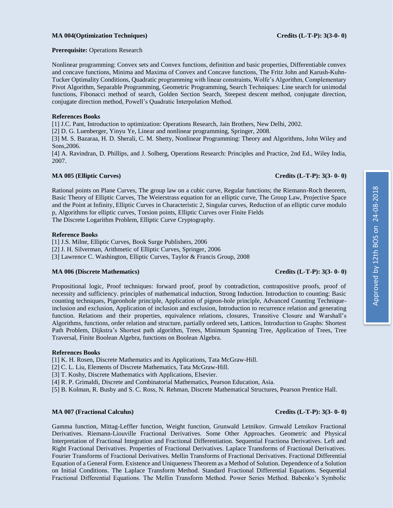### **MA 004(Optimization Techniques) Credits (L-T-P): 3(3-0- 0)**

**Prerequisite:** Operations Research

Nonlinear programming: Convex sets and Convex functions, definition and basic properties, Differentiable convex and concave functions, Minima and Maxima of Convex and Concave functions, The Fritz John and Karush-Kuhn-Tucker Optimality Conditions, Quadratic programming with linear constraints, Wolfe's Algorithm, Complementary Pivot Algorithm, Separable Programming, Geometric Programming, Search Techniques: Line search for unimodal functions, Fibonacci method of search, Golden Section Search, Steepest descent method, conjugate direction, conjugate direction method, Powell's Quadratic Interpolation Method.

### **References Books**

[1] J.C. Pant, Introduction to optimization: Operations Research, Jain Brothers, New Delhi, 2002.

[2] D. G. Luenberger, Yinyu Ye, Linear and nonlinear programming, Springer, 2008.

[3] M. S. Bazaraa, H. D. Sherali, C. M. Shetty, Nonlinear Programming: Theory and Algorithms, John Wiley and Sons,2006.

[4] A. Ravindran, D. Phillips, and J. Solberg, Operations Research: Principles and Practice, 2nd Ed., Wiley India, 2007.

### **MA 005 (Elliptic Curves) Credits (L-T-P): 3(3- 0- 0)**

Rational points on Plane Curves, The group law on a cubic curve, Regular functions; the Riemann-Roch theorem, Basic Theory of Elliptic Curves, The Weierstrass equation for an elliptic curve, The Group Law, Projective Space and the Point at Infinity, Elliptic Curves in Characteristic 2, Singular curves, Reduction of an elliptic curve modulo p, Algorithms for elliptic curves, Torsion points, Elliptic Curves over Finite Fields The Discrete Logarithm Problem, Elliptic Curve Cryptography.

### **Reference Books**

[1] J.S. Milne, Elliptic Curves, Book Surge Publishers, 2006 [2] J. H. Silverman, Arithmetic of Elliptic Curves, Springer, 2006 [3] Lawrence C. Washington, Elliptic Curves, Taylor & Francis Group, 2008

### **MA 006 (Discrete Mathematics) Credits (L-T-P): 3(3- 0- 0)**

Propositional logic, Proof techniques: forward proof, proof by contradiction, contrapositive proofs, proof of necessity and sufficiency. principles of mathematical induction, Strong Induction. Introduction to counting: Basic counting techniques, Pigeonhole principle, Application of pigeon-hole principle, Advanced Counting Techniqueinclusion and exclusion, Application of inclusion and exclusion, Introduction to recurrence relation and generating function. Relations and their properties, equivalence relations, closures, Transitive Closure and Warshall's Algorithms, functions, order relation and structure, partially ordered sets, Lattices, Introduction to Graphs: Shortest Path Problem, Dijkstra's Shortest path algorithm, Trees, Minimum Spanning Tree, Application of Trees, Tree Traversal, Finite Boolean Algebra, functions on Boolean Algebra.

### **References Books**

- [1] K. H. Rosen, Discrete Mathematics and its Applications, Tata McGraw-Hill.
- [2] C. L. Liu, Elements of Discrete Mathematics, Tata McGraw-Hill.
- [3] T. Koshy, Discrete Mathematics with Applications, Elsevier.
- [4] R. P. Grimaldi, Discrete and Combinatorial Mathematics, Pearson Education, Asia.
- [5] B. Kolman, R. Busby and S. C. Ross, N. Rehman, Discrete Mathematical Structures, Pearson Prentice Hall.

### **MA 007 (Fractional Calculus) Credits (L-T-P): 3(3- 0- 0)**

Gamma function, Mittag-Leffler function, Weight function, Grunwald Letnikov. Grnwald Letnikov Fractional Derivatives. Riemann-Liouville Fractional Derivatives. Some Other Approaches. Geometric and Physical Interpretation of Fractional Integration and Fractional Differentiation. Sequential Fractiona Derivatives. Left and Right Fractional Derivatives. Properties of Fractional Derivatives. Laplace Transforms of Fractional Derivatives. Fourier Transforms of Fractional Derivatives. Mellin Transforms of Fractional Derivatives. Fractional Differential Equation of a General Form. Existence and Uniqueness Theorem as a Method of Solution. Dependence of a Solution on Initial Conditions. The Laplace Transform Method. Standard Fractional Differential Equations. Sequential Fractional Differential Equations. The Mellin Transform Method. Power Series Method. Babenko's Symbolic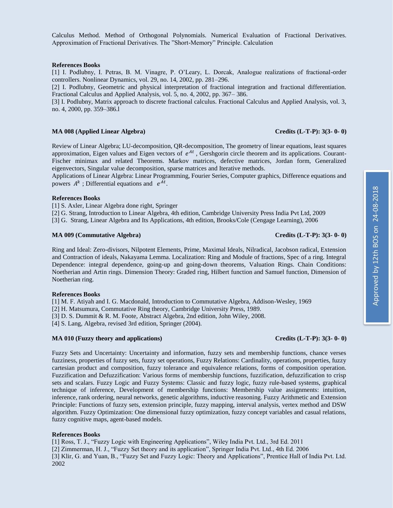Calculus Method. Method of Orthogonal Polynomials. Numerical Evaluation of Fractional Derivatives. Approximation of Fractional Derivatives. The "Short-Memory" Principle. Calculation

### **References Books**

[1] I. Podlubny, I. Petras, B. M. Vinagre, P. O'Leary, L. Dorcak, Analogue realizations of fractional-order controllers. Nonlinear Dynamics, vol. 29, no. 14, 2002, pp. 281–296.

[2] I. Podlubny, Geometric and physical interpretation of fractional integration and fractional differentiation. Fractional Calculus and Applied Analysis, vol. 5, no. 4, 2002, pp. 367– 386.

[3] I. Podlubny, Matrix approach to discrete fractional calculus. Fractional Calculus and Applied Analysis, vol. 3, no. 4, 2000, pp. 359–386.l

### **MA 008 (Applied Linear Algebra) Credits (L-T-P): 3(3- 0- 0)**

Review of Linear Algebra; LU-decomposition, QR-decomposition, The geometry of linear equations, least squares approximation, Eigen values and Eigen vectors of  $e^{At}$ , Gershgorin circle theorem and its applications. Courant-Fischer minimax and related Theorems. Markov matrices, defective matrices, Jordan form, Generalized eigenvectors, Singular value decomposition, sparse matrices and Iterative methods.

Applications of Linear Algebra: Linear Programming, Fourier Series, Computer graphics, Difference equations and powers  $A^k$ ; Differential equations and  $e^{At}$ .

### **References Books**

[1] S. Axler, Linear Algebra done right, Springer

[2] G. Strang, Introduction to Linear Algebra, 4th edition, Cambridge University Press India Pvt Ltd, 2009

[3] G. Strang, Linear Algebra and Its Applications, 4th edition, Brooks/Cole (Cengage Learning), 2006

### **MA 009 (Commutative Algebra) Credits (L-T-P): 3(3- 0- 0)**

Ring and Ideal: Zero-divisors, Nilpotent Elements, Prime, Maximal Ideals, Nilradical, Jacobson radical, Extension and Contraction of ideals, Nakayama Lemma. Localization: Ring and Module of fractions, Spec of a ring. Integral Dependence: integral dependence, going-up and going-down theorems, Valuation Rings. Chain Conditions: Noetherian and Artin rings. Dimension Theory: Graded ring, Hilbert function and Samuel function, Dimension of Noetherian ring.

### **References Books**

[1] M. F. Atiyah and I. G. Macdonald, Introduction to Commutative Algebra, Addison-Wesley, 1969

[2] H. Matsumura, Commutative Ring theory, Cambridge University Press, 1989.

[3] D. S. Dummit & R. M. Foote, Abstract Algebra, 2nd edition, John Wiley, 2008.

[4] S. Lang, Algebra, revised 3rd edition, Springer (2004).

### **MA 010 (Fuzzy theory and applications) Credits (L-T-P): 3(3- 0- 0)**

Fuzzy Sets and Uncertainty: Uncertainty and information, fuzzy sets and membership functions, chance verses fuzziness, properties of fuzzy sets, fuzzy set operations, Fuzzy Relations: Cardinality, operations, properties, fuzzy cartesian product and composition, fuzzy tolerance and equivalence relations, forms of composition operation. Fuzzification and Defuzzification: Various forms of membership functions, fuzzification, defuzzification to crisp sets and scalars. Fuzzy Logic and Fuzzy Systems: Classic and fuzzy logic, fuzzy rule-based systems, graphical technique of inference, Development of membership functions: Membership value assignments: intuition, inference, rank ordering, neural networks, genetic algorithms, inductive reasoning. Fuzzy Arithmetic and Extension Principle: Functions of fuzzy sets, extension principle, fuzzy mapping, interval analysis, vertex method and DSW algorithm. Fuzzy Optimization: One dimensional fuzzy optimization, fuzzy concept variables and casual relations, fuzzy cognitive maps, agent-based models.

### **References Books**

[1] Ross, T. J., "Fuzzy Logic with Engineering Applications", Wiley India Pvt. Ltd., 3rd Ed. 2011

[2] Zimmerman, H. J., "Fuzzy Set theory and its application", Springer India Pvt. Ltd., 4th Ed. 2006

[3] Klir, G. and Yuan, B., "Fuzzy Set and Fuzzy Logic: Theory and Applications", Prentice Hall of India Pvt. Ltd. 2002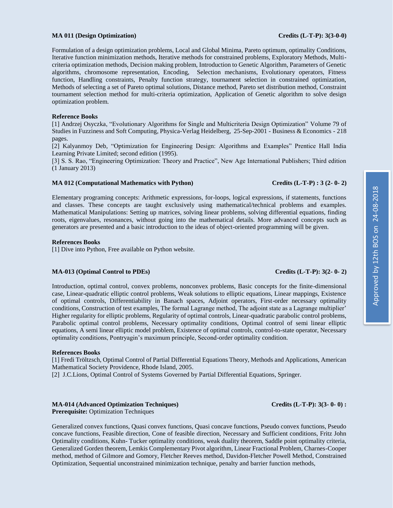### **MA 011 (Design Optimization) Credits (L-T-P): 3(3-0-0)**

Formulation of a design optimization problems, Local and Global Minima, Pareto optimum, optimality Conditions, Iterative function minimization methods, Iterative methods for constrained problems, Exploratory Methods, Multicriteria optimization methods, Decision making problem, Introduction to Genetic Algorithm, Parameters of Genetic algorithms, chromosome representation, Encoding, Selection mechanisms, Evolutionary operators, Fitness function, Handling constraints, Penalty function strategy, tournament selection in constrained optimization, Methods of selecting a set of Pareto optimal solutions, Distance method, Pareto set distribution method, Constraint tournament selection method for multi-criteria optimization, Application of Genetic algorithm to solve design optimization problem.

### **Reference Books**

[1] Andrzej Osyczka, "Evolutionary Algorithms for Single and Multicriteria Design Optimization" [Volume 79 of](https://www.google.co.in/search?tbo=p&tbm=bks&q=bibliogroup:%22Studies+in+Fuzziness+and+Soft+Computing%22&source=gbs_metadata_r&cad=5)  [Studies in Fuzziness and Soft Computing,](https://www.google.co.in/search?tbo=p&tbm=bks&q=bibliogroup:%22Studies+in+Fuzziness+and+Soft+Computing%22&source=gbs_metadata_r&cad=5) Physica-Verlag Heidelberg, 25-Sep-2001 - [Business & Economics](https://www.google.co.in/search?tbo=p&tbm=bks&q=subject:%22Business+%26+Economics%22&source=gbs_ge_summary_r&cad=0) - 218 pages.

[2] Kalyanmoy Deb, "Optimization for Engineering Design: Algorithms and Examples" Prentice Hall India Learning Private Limited; second edition (1995).

[3] S. S. Rao, "Engineering Optimization: Theory and Practice", New Age International Publishers; Third edition (1 January 2013)

### **MA 012 (Computational Mathematics with Python) Credits (L-T-P) : 3 (2- 0- 2)**

Elementary programing concepts: Arithmetic expressions, for-loops, logical expressions, if statements, functions and classes. These concepts are taught exclusively using mathematical/technical problems and examples. Mathematical Manipulations: Setting up matrices, solving linear problems, solving differential equations, finding roots, eigenvalues, resonances, without going into the mathematical details. More advanced concepts such as generators are presented and a basic introduction to the ideas of object-oriented programming will be given.

### **References Books**

[1] Dive into Python, Free available on Python website.

### **MA-013 (Optimal Control to PDEs) Credits (L-T-P): 3(2- 0- 2)**

Introduction, optimal control, convex problems, nonconvex problems, Basic concepts for the finite-dimensional case, Linear-quadratic elliptic control problems, Weak solutions to elliptic equations, Linear mappings, Existence of optimal controls, Differentiability in Banach spaces, Adjoint operators, First-order necessary optimality conditions, Construction of test examples, The formal Lagrange method, The adjoint state as a Lagrange multiplier' Higher regularity for elliptic problems, Regularity of optimal controls, Linear-quadratic parabolic control problems, Parabolic optimal control problems, Necessary optimality conditions, Optimal control of semi linear elliptic equations, A semi linear elliptic model problem, Existence of optimal controls, control-to-state operator, Necessary optimality conditions, Pontryagin's maximum principle, Second-order optimality condition.

### **References Books**

[1] Fredi Tröltzsch, Optimal Control of Partial Differential Equations Theory, Methods and Applications, American Mathematical Society Providence, Rhode Island, 2005.

[2] J.C.Lions, Optimal Control of Systems Governed by Partial Differential Equations, Springer.

### **MA-014 (Advanced Optimization Techniques) Credits (L-T-P): 3(3- 0- 0) : Prerequisite:** Optimization Techniques

Generalized convex functions, Quasi convex functions, Quasi concave functions, Pseudo convex functions, Pseudo concave functions, Feasible direction, Cone of feasible direction, Necessary and Sufficient conditions, Fritz John Optimality conditions, Kuhn- Tucker optimality conditions, weak duality theorem, Saddle point optimality criteria, Generalized Gorden theorem, Lemkis Complementary Pivot algorithm, Linear Fractional Problem, Charnes-Cooper method, method of Gilmore and Gomory, Fletcher Reeves method, Davidon-Fletcher Powell Method, Constrained Optimization, Sequential unconstrained minimization technique, penalty and barrier function methods,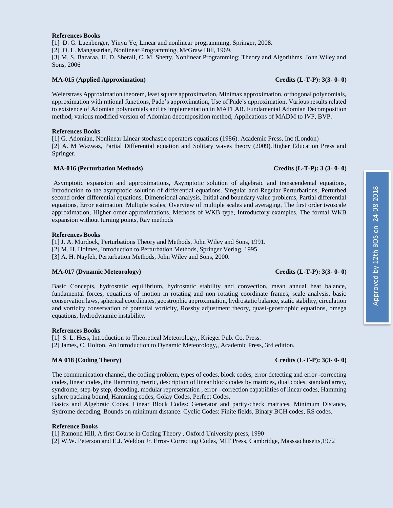### **References Books**

[1] D. G. Luenberger, Yinyu Ye, Linear and nonlinear programming, Springer, 2008. [2] O. L. Mangasarian, Nonlinear Programming, McGraw Hill, 1969. [3] M. S. Bazaraa, H. D. Sherali, C. M. Shetty, Nonlinear Programming: Theory and Algorithms, John Wiley and Sons, 2006

### **MA-015 (Applied Approximation) Credits (L-T-P): 3(3- 0- 0)**

Weierstrass Approximation theorem, least square approximation, Minimax approximation, orthogonal polynomials, approximation with rational functions, Pade's approximation, Use of Pade's approximation. Various results related to existence of Adomian polynomials and its implementation in MATLAB. Fundamental Adomian Decomposition method, various modified version of Adomian decomposition method, Applications of MADM to IVP, BVP.

### **References Books**

[1] G. Adomian, Nonlinear Linear stochastic operators equations (1986). Academic Press, Inc (London) [2] A. M Wazwaz, Partial Differential equation and Solitary waves theory (2009).Higher Education Press and Springer.

### **MA-016 (Perturbation Methods) Credits (L-T-P): 3 (3- 0- 0)**

Asymptotic expansion and approximations, Asymptotic solution of algebraic and transcendental equations, Introduction to the asymptotic solution of differential equations. Singular and Regular Perturbations, Perturbed second order differential equations, Dimensional analysis, Initial and boundary value problems, Partial differential equations, Error estimation. Multiple scales, Overview of multiple scales and averaging, The first order twoscale approximation, Higher order approximations. Methods of WKB type, Introductory examples, The formal WKB expansion without turning points, Ray methods

### **References Books**

[1] J. A. Murdock, Perturbations Theory and Methods, John Wiley and Sons, 1991. [2] M. H. Holmes, Introduction to Perturbation Methods, Springer Verlag, 1995.

[3] A. H. Nayfeh, Perturbation Methods, John Wiley and Sons, 2000.

### **MA-017 (Dynamic Meteorology) Credits (L-T-P): 3(3- 0- 0)**

Basic Concepts, hydrostatic equilibrium, hydrostatic stability and convection, mean annual heat balance, fundamental forces, equations of motion in rotating and non rotating coordinate frames, scale analysis, basic conservation laws, spherical coordinates, geostrophic approximation, hydrostatic balance, static stability, circulation and vorticity conservation of potential vorticity, Rossby adjustment theory, quasi-geostrophic equations, omega equations, hydrodynamic instability.

### **References Books**

[1] S. L. Hess, Introduction to Theoretical Meteorology,, Krieger Pub. Co. Press.

[2] James, C. Holton, An Introduction to Dynamic Meteorology,, Academic Press, 3rd edition.

### **MA 018 (Coding Theory) Credits (L-T-P): 3(3- 0- 0)**

The communication channel, the coding problem, types of codes, block codes, error detecting and error -correcting codes, linear codes, the Hamming metric, description of linear block codes by matrices, dual codes, standard array, syndrome, step-by step, decoding, modular representation , error - correction capabilities of linear codes, Hamming sphere packing bound, Hamming codes, Golay Codes, Perfect Codes,

Basics and Algebraic Codes. Linear Block Codes: Generator and parity-check matrices, Minimum Distance, Sydrome decoding, Bounds on minimum distance. Cyclic Codes: Finite fields, Binary BCH codes, RS codes.

### **Reference Books**

[1] Ramond Hill, A first Course in Coding Theory , Oxford University press, 1990

[2] W.W. Peterson and E.J. Weldon Jr. Error- Correcting Codes, MIT Press, Cambridge, Masssachusetts,1972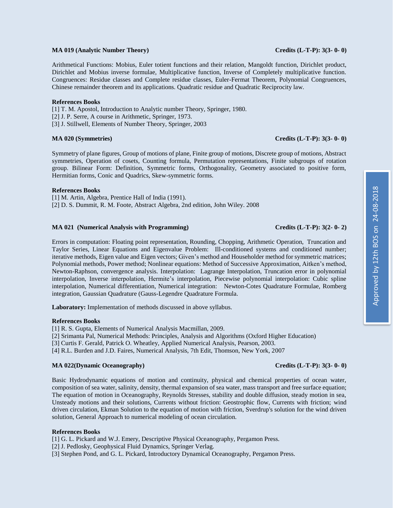### **MA 019 (Analytic Number Theory) Credits (L-T-P): 3(3- 0- 0)**

Arithmetical Functions: Mobius, Euler totient functions and their relation, Mangoldt function, Dirichlet product, Dirichlet and Mobius inverse formulae, Multiplicative function, Inverse of Completely multiplicative function. Congruences: Residue classes and Complete residue classes, Euler-Fermat Theorem, Polynomial Congruences, Chinese remainder theorem and its applications. Quadratic residue and Quadratic Reciprocity law.

### **References Books**

[1] T. M. Apostol, Introduction to Analytic number Theory, Springer, 1980.

- [2] J. P. Serre, A course in Arithmetic, Springer, 1973.
- [3] J. Stillwell, Elements of Number Theory, Springer, 2003

### **MA 020 (Symmetries) Credits (L-T-P): 3(3- 0- 0)**

Symmetry of plane figures, Group of motions of plane, Finite group of motions, Discrete group of motions, Abstract symmetries, Operation of cosets, Counting formula, Permutation representations, Finite subgroups of rotation group. Bilinear Form: Definition, Symmetric forms, Orthogonality, Geometry associated to positive form, Hermitian forms, Conic and Quadrics, Skew-symmetric forms.

### **References Books**

[1] M. Artin, Algebra, Prentice Hall of India (1991). [2] D. S. Dummit, R. M. Foote, Abstract Algebra, 2nd edition, John Wiley. 2008

### **MA 021 (Numerical Analysis with Programming) Credits (L-T-P): 3(2- 0- 2)**

Errors in computation: Floating point representation, Rounding, Chopping, Arithmetic Operation, Truncation and Taylor Series, Linear Equations and Eigenvalue Problem: Ill-conditioned systems and conditioned number; iterative methods, Eigen value and Eigen vectors; Given's method and Householder method for symmetric matrices; Polynomial methods, Power method; Nonlinear equations: Method of Successive Approximation, Aitken's method, Newton-Raphson, convergence analysis. Interpolation: Lagrange Interpolation, Truncation error in polynomial interpolation, Inverse interpolation, Hermite's interpolation, Piecewise polynomial interpolation: Cubic spline interpolation, Numerical differentiation, Numerical integration: Newton-Cotes Quadrature Formulae, Romberg integration, Gaussian Quadrature (Gauss-Legendre Quadrature Formula.

**Laboratory:** Implementation of methods discussed in above syllabus.

### **References Books**

[1] R. S. Gupta, Elements of Numerical Analysis Macmillan, 2009.

[2] Srimanta Pal, Numerical Methods: Principles, Analysis and Algorithms (Oxford Higher Education)

[3] Curtis F. Gerald, Patrick O. Wheatley, Applied Numerical Analysis, Pearson, 2003.

[4] R.L. Burden and J.D. Faires, Numerical Analysis, 7th Edit, Thomson, New York, 2007

### **MA 022(Dynamic Oceanography) Credits (L-T-P): 3(3- 0- 0)**

Basic Hydrodynamic equations of motion and continuity, physical and chemical properties of ocean water, composition of sea water, salinity, density, thermal expansion of sea water, mass transport and free surface equation; The equation of motion in Oceanography, Reynolds Stresses, stability and double diffusion, steady motion in sea, Unsteady motions and their solutions, Currents without friction: Geostrophic flow, Currents with friction; wind driven circulation, Ekman Solution to the equation of motion with friction, Sverdrup's solution for the wind driven solution, General Approach to numerical modeling of ocean circulation.

### **References Books**

[1] G. L. Pickard and W.J. Emery, Descriptive Physical Oceanography, Pergamon Press.

[2] J. Pedlosky, Geophysical Fluid Dynamics, Springer Verlag.

[3] Stephen Pond, and G. L. Pickard, Introductory Dynamical Oceanography, Pergamon Press.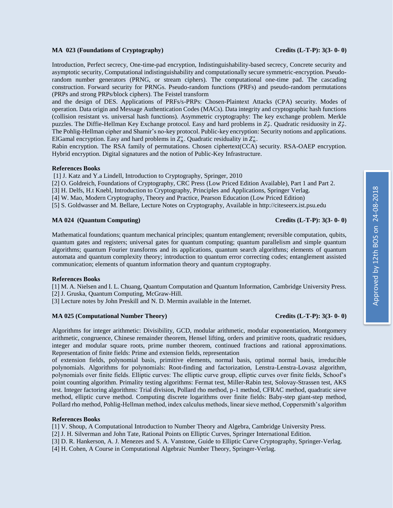### **MA 023 (Foundations of Cryptography) Credits (L-T-P): 3(3- 0- 0)**

Introduction, Perfect secrecy, One-time-pad encryption, Indistinguishability-based secrecy, Concrete security and asymptotic security, Computational indistinguishability and computationally secure symmetric-encryption. Pseudorandom number generators (PRNG, or stream ciphers). The computational one-time pad. The cascading construction. Forward security for PRNGs. Pseudo-random functions (PRFs) and pseudo-random permutations (PRPs and strong PRPs/block ciphers). The Feistel transform

and the design of DES. Applications of PRFs/s-PRPs: Chosen-Plaintext Attacks (CPA) security. Modes of operation. Data origin and Message Authentication Codes (MACs). Data integrity and cryptographic hash functions (collision resistant vs. universal hash functions). Asymmetric cryptography: The key exchange problem. Merkle puzzles. The Diffie-Hellman Key Exchange protocol. Easy and hard problems in  $Z_P^*$ . Quadratic residuosity in  $Z_P^*$ . The Pohlig-Hellman cipher and Shamir's no-key protocol. Public-key encryption: Security notions and applications. ElGamal encryption. Easy and hard problems in  $Z_n^*$ . Quadratic residuality in  $Z_n^*$ .

Rabin encryption. The RSA family of permutations. Chosen ciphertext(CCA) security. RSA-OAEP encryption. Hybrid encryption. Digital signatures and the notion of Public-Key Infrastructure.

### **References Books**

[1] J. Katz and Y.a Lindell, Introduction to Cryptography, Springer, 2010

[2] O. Goldreich, Foundations of Cryptography, CRC Press (Low Priced Edition Available), Part 1 and Part 2.

[3] H. Delfs, H.t Knebl, Introduction to Cryptography, Principles and Applications, Springer Verlag.

[4] W. Mao, Modern Cryptography, Theory and Practice, Pearson Education (Low Priced Edition)

[5] S. Goldwasser and M. Bellare, Lecture Notes on Cryptography, Available i[n http://citeseerx.ist.psu.edu](http://citeseerx.ist.psu.edu/)

### **MA 024 (Quantum Computing) Credits (L-T-P): 3(3- 0- 0)**

### Mathematical foundations; quantum mechanical principles; quantum entanglement; reversible computation, qubits, quantum gates and registers; universal gates for quantum computing; quantum parallelism and simple quantum algorithms; quantum Fourier transforms and its applications, quantum search algorithms; elements of quantum automata and quantum complexity theory; introduction to quantum error correcting codes; entanglement assisted communication; elements of quantum information theory and quantum cryptography.

### **References Books**

[1] M. A. Nielsen and I. L. Chuang, Quantum Computation and Quantum Information, Cambridge University Press. [2] J. Gruska, Quantum Computing, McGraw-Hill.

[3] Lecture notes by John Preskill and N. D. Mermin available in the Internet.

### **MA 025 (Computational Number Theory) Credits (L-T-P): 3(3- 0- 0)**

Algorithms for integer arithmetic: Divisibility, GCD, modular arithmetic, modular exponentiation, Montgomery arithmetic, congruence, Chinese remainder theorem, Hensel lifting, orders and primitive roots, quadratic residues, integer and modular square roots, prime number theorem, continued fractions and rational approximations. Representation of finite fields: Prime and extension fields, representation

of extension fields, polynomial basis, primitive elements, normal basis, optimal normal basis, irreducible polynomials. Algorithms for polynomials: Root-finding and factorization, Lenstra-Lenstra-Lovasz algorithm, polynomials over finite fields. Elliptic curves: The elliptic curve group, elliptic curves over finite fields, Schoof's point counting algorithm. Primality testing algorithms: Fermat test, Miller-Rabin test, Solovay-Strassen test, AKS test. Integer factoring algorithms: Trial division, Pollard rho method, p-1 method, CFRAC method, quadratic sieve method, elliptic curve method. Computing discrete logarithms over finite fields: Baby-step giant-step method, Pollard rho method, Pohlig-Hellman method, index calculus methods, linear sieve method, Coppersmith's algorithm

### **References Books**

[1] V. Shoup, A Computational Introduction to Number Theory and Algebra, Cambridge University Press.

[2] J. H. Silverman and John Tate, Rational Points on Elliptic Curves, Springer International Edition.

[3] D. R. Hankerson, A. J. Menezes and S. A. Vanstone, Guide to Elliptic Curve Cryptography, Springer-Verlag.

[4] H. Cohen, A Course in Computational Algebraic Number Theory, Springer-Verlag.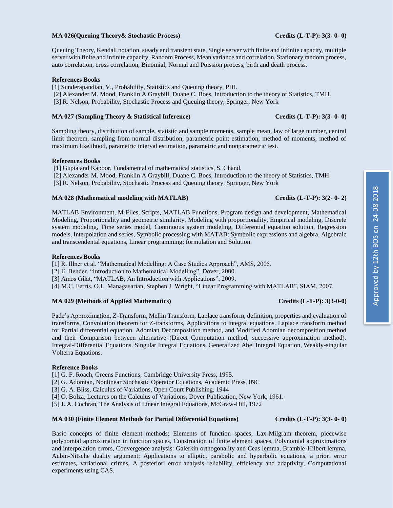### **MA 026(Queuing Theory& Stochastic Process) Credits (L-T-P): 3(3- 0- 0)**

Queuing Theory, Kendall notation, steady and transient state, Single server with finite and infinite capacity, multiple server with finite and infinite capacity, Random Process, Mean variance and correlation, Stationary random process, auto correlation, cross correlation, Binomial, Normal and Poission process, birth and death process.

### **References Books**

[1] Sunderapandian, V., Probability, Statistics and Queuing theory, PHI.

- [2] Alexander M. Mood, Franklin A Graybill, Duane C. Boes, Introduction to the theory of Statistics, TMH.
- [3] R. Nelson, Probability, Stochastic Process and Queuing theory, Springer, New York

### **MA 027 (Sampling Theory & Statistical Inference) Credits (L-T-P): 3(3- 0- 0)**

Sampling theory, distribution of sample, statistic and sample moments, sample mean, law of large number, central limit theorem, sampling from normal distribution, parametric point estimation, method of moments, method of maximum likelihood, parametric interval estimation, parametric and nonparametric test.

### **References Books**

[1] Gupta and Kapoor, Fundamental of mathematical statistics, S. Chand.

[2] Alexander M. Mood, Franklin A Graybill, Duane C. Boes, Introduction to the theory of Statistics, TMH.

[3] R. Nelson, Probability, Stochastic Process and Queuing theory, Springer, New York

### **MA 028 (Mathematical modeling with MATLAB) Credits (L-T-P): 3(2- 0- 2)**

MATLAB Environment, M-Files, Scripts, MATLAB Functions, Program design and development, Mathematical Modeling, Proportionality and geometric similarity, Modeling with proportionality, Empirical modeling, Discrete system modeling, Time series model, Continuous system modeling, Differential equation solution, Regression models, Interpolation and series, Symbolic processing with MATAB: Symbolic expressions and algebra, Algebraic and transcendental equations, Linear programming: formulation and Solution.

### **References Books**

[1] R. Illner et al. "Mathematical Modelling: A Case Studies Approach", AMS, 2005.

[2] E. Bender. "Introduction to Mathematical Modelling", Dover, 2000.

[3] Amos Gilat, "MATLAB, An Introduction with Applications", 2009.

[4] M.C. Ferris, O.L. Managasarian, Stephen J. Wright, "Linear Programming with MATLAB", SIAM, 2007.

### **MA 029 (Methods of Applied Mathematics) Credits (L-T-P): 3(3-0-0)**

Pade's Approximation, Z-Transform, Mellin Transform, Laplace transform, definition, properties and evaluation of transforms, Convolution theorem for Z-transforms, Applications to integral equations. Laplace transform method for Partial differential equation. Adomian Decomposition method, and Modified Adomian decomposition method and their Comparison between alternative (Direct Computation method, successive approximation method). Integral-Differential Equations. Singular Integral Equations, Generalized Abel Integral Equation, Weakly-singular Volterra Equations.

### **Reference Books**

[1] G. F. Roach, Greens Functions, Cambridge University Press, 1995.

[2] G. Adomian, Nonlinear Stochastic Operator Equations, Academic Press, INC

[3] G. A. Bliss, Calculus of Variations, Open Court Publishing, 1944

[4] O. Bolza, Lectures on the Calculus of Variations, Dover Publication, New York, 1961.

[5] J. A. Cochran, The Analysis of Linear Integral Equations, McGraw-Hill, 1972

### **MA 030 (Finite Element Methods for Partial Differential Equations) Credits (L-T-P): 3(3- 0- 0)**

Basic concepts of finite element methods; Elements of function spaces, Lax-Milgram theorem, piecewise polynomial approximation in function spaces, Construction of finite element spaces, Polynomial approximations and interpolation errors, Convergence analysis: Galerkin orthogonality and Ceas lemma, Bramble-Hilbert lemma, Aubin-Nitsche duality argument; Applications to elliptic, parabolic and hyperbolic equations, a priori error estimates, variational crimes, A posteriori error analysis reliability, efficiency and adaptivity, Computational experiments using CAS.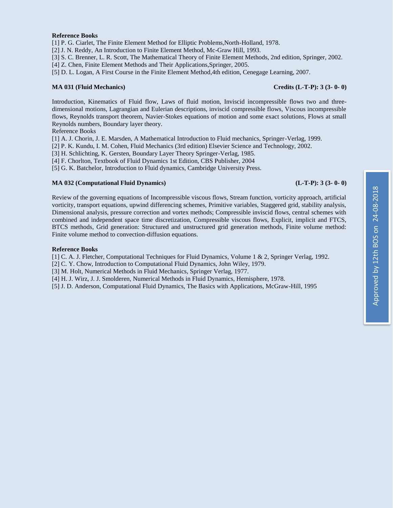### **Reference Books**

[1] P. G. Ciarlet, The Finite Element Method for Elliptic Problems,North-Holland, 1978.

[2] J. N. Reddy, An Introduction to Finite Element Method, Mc-Graw Hill, 1993.

[3] S. C. Brenner, L. R. Scott, The Mathematical Theory of Finite Element Methods, 2nd edition, Springer, 2002.

[4] Z. Chen, Finite Element Methods and Their Applications,Springer, 2005.

[5] D. L. Logan, A First Course in the Finite Element Method,4th edition, Cenegage Learning, 2007.

### **MA 031 (Fluid Mechanics) Credits (L-T-P): 3 (3- 0- 0)**

Introduction, Kinematics of Fluid flow, Laws of fluid motion, Inviscid incompressible flows two and threedimensional motions, Lagrangian and Eulerian descriptions, inviscid compressible flows, Viscous incompressible flows, Reynolds transport theorem, Navier-Stokes equations of motion and some exact solutions, Flows at small Reynolds numbers, Boundary layer theory.

Reference Books

[1] A. J. Chorin, J. E. Marsden, A Mathematical Introduction to Fluid mechanics, Springer-Verlag, 1999.

[2] P. K. Kundu, I. M. Cohen, Fluid Mechanics (3rd edition) Elsevier Science and Technology, 2002.

[3] H. Schlichting, K. Gersten, Boundary Layer Theory Springer-Verlag, 1985.

[4] F. Chorlton, Textbook of Fluid Dynamics 1st Edition, CBS Publisher, 2004

[5] G. K. Batchelor, Introduction to Fluid dynamics, Cambridge University Press.

### **MA 032 (Computational Fluid Dynamics) (L-T-P): 3 (3- 0- 0)**

Review of the governing equations of Incompressible viscous flows, Stream function, vorticity approach, artificial vorticity, transport equations, upwind differencing schemes, Primitive variables, Staggered grid, stability analysis, Dimensional analysis, pressure correction and vortex methods; Compressible inviscid flows, central schemes with combined and independent space time discretization, Compressible viscous flows, Explicit, implicit and FTCS, BTCS methods, Grid generation: Structured and unstructured grid generation methods, Finite volume method: Finite volume method to convection-diffusion equations.

### **Reference Books**

[1] C. A. J. Fletcher, Computational Techniques for Fluid Dynamics, Volume 1 & 2, Springer Verlag, 1992.

[2] C. Y. Chow, Introduction to Computational Fluid Dynamics, John Wiley, 1979.

[3] M. Holt, Numerical Methods in Fluid Mechanics, Springer Verlag, 1977.

[4] H. J. Wirz, J. J. Smolderen, Numerical Methods in Fluid Dynamics, Hemisphere, 1978.

[5] J. D. Anderson, Computational Fluid Dynamics, The Basics with Applications, McGraw-Hill, 1995